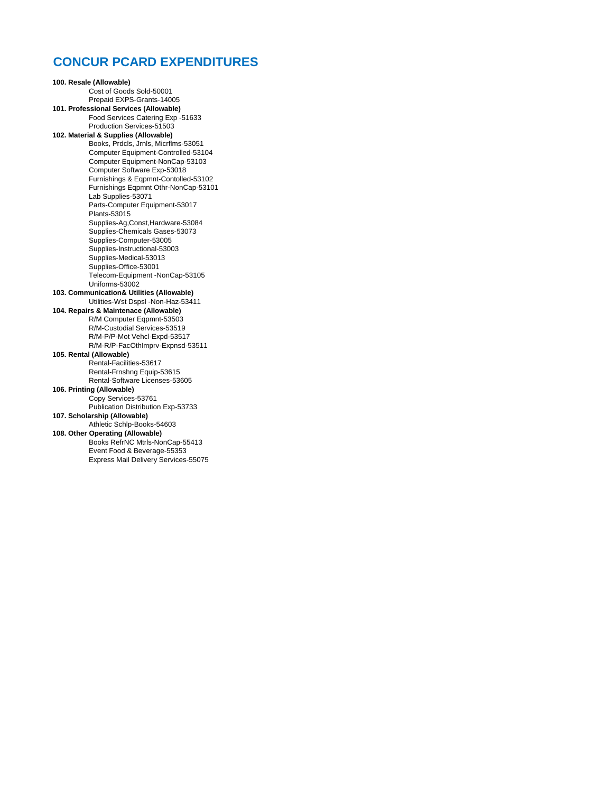## **CONCUR PCARD EXPENDITURES**

**100. Resale (Allowable)** Cost of Goods Sold-50001 Prepaid EXPS-Grants-14005 **101. Professional Services (Allowable)** Food Services Catering Exp -51633 Production Services-51503 **102. Material & Supplies (Allowable)** Books, Prdcls, Jrnls, Micrflms-53051 Computer Equipment-Controlled-53104 Computer Equipment-NonCap-53103 Computer Software Exp-53018 Furnishings & Eqpmnt-Contolled-53102 Furnishings Eqpmnt Othr-NonCap-53101 Lab Supplies-53071 Parts-Computer Equipment-53017 Plants-53015 Supplies-Ag,Const,Hardware-53084 Supplies-Chemicals Gases-53073 Supplies-Computer-53005 Supplies-Instructional-53003 Supplies-Medical-53013 Supplies-Office-53001 Telecom-Equipment -NonCap-53105 Uniforms-53002 **103. Communication& Utilities (Allowable)** Utilities-Wst Dspsl -Non-Haz-53411 **104. Repairs & Maintenace (Allowable)** R/M Computer Eqpmnt-53503 R/M-Custodial Services-53519 R/M-P/P-Mot Vehcl-Expd-53517 R/M-R/P-FacOthImprv-Expnsd-53511 **105. Rental (Allowable)** Rental-Facilities-53617 Rental-Frnshng Equip-53615 Rental-Software Licenses-53605 **106. Printing (Allowable)** Copy Services-53761 Publication Distribution Exp-53733 **107. Scholarship (Allowable)** Athletic Schlp-Books-54603 **108. Other Operating (Allowable)** Books RefrNC Mtrls-NonCap-55413 Event Food & Beverage-55353 Express Mail Delivery Services-55075